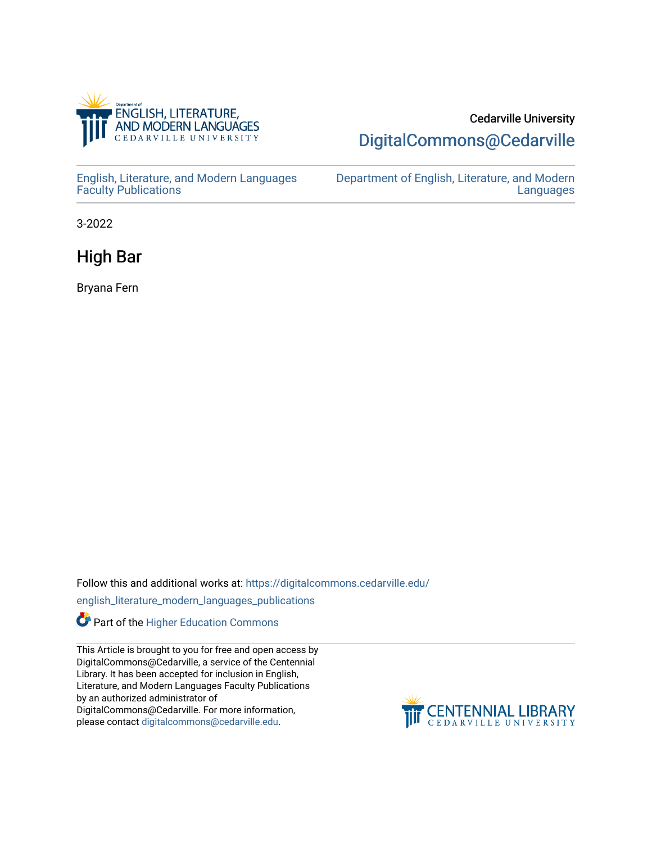

Cedarville University [DigitalCommons@Cedarville](https://digitalcommons.cedarville.edu/) 

[English, Literature, and Modern Languages](https://digitalcommons.cedarville.edu/english_literature_modern_languages_publications) [Faculty Publications](https://digitalcommons.cedarville.edu/english_literature_modern_languages_publications)

[Department of English, Literature, and Modern](https://digitalcommons.cedarville.edu/english_literature_modern_languages)  [Languages](https://digitalcommons.cedarville.edu/english_literature_modern_languages) 

3-2022

High Bar

Bryana Fern

Follow this and additional works at: [https://digitalcommons.cedarville.edu/](https://digitalcommons.cedarville.edu/english_literature_modern_languages_publications?utm_source=digitalcommons.cedarville.edu%2Fenglish_literature_modern_languages_publications%2F332&utm_medium=PDF&utm_campaign=PDFCoverPages)

[english\\_literature\\_modern\\_languages\\_publications](https://digitalcommons.cedarville.edu/english_literature_modern_languages_publications?utm_source=digitalcommons.cedarville.edu%2Fenglish_literature_modern_languages_publications%2F332&utm_medium=PDF&utm_campaign=PDFCoverPages) 

Part of the [Higher Education Commons](http://network.bepress.com/hgg/discipline/1245?utm_source=digitalcommons.cedarville.edu%2Fenglish_literature_modern_languages_publications%2F332&utm_medium=PDF&utm_campaign=PDFCoverPages) 

This Article is brought to you for free and open access by DigitalCommons@Cedarville, a service of the Centennial Library. It has been accepted for inclusion in English, Literature, and Modern Languages Faculty Publications by an authorized administrator of DigitalCommons@Cedarville. For more information, please contact [digitalcommons@cedarville.edu](mailto:digitalcommons@cedarville.edu).

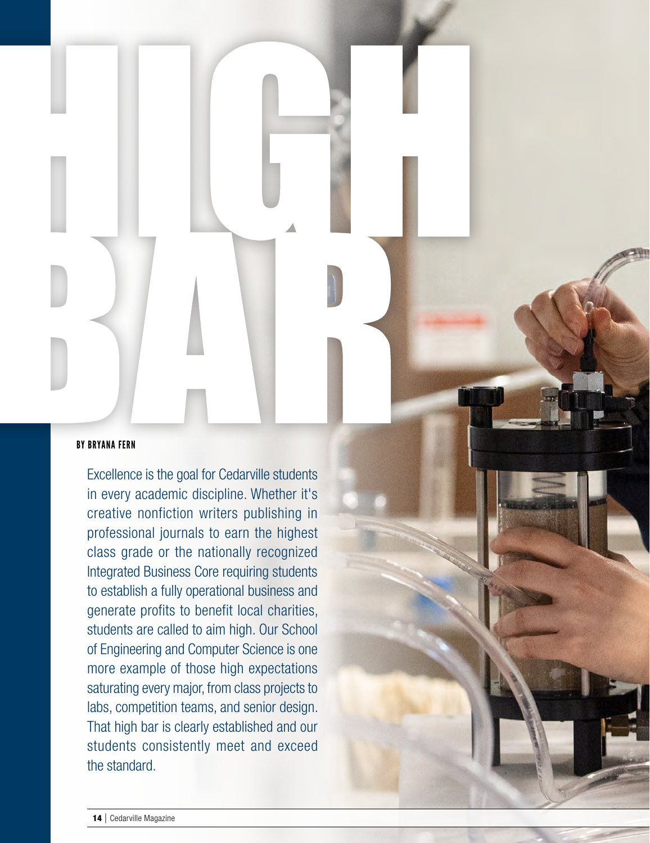### BY BRYANA FERN

Excellence is the goal for Cedarville students in every academic discipline. Whether it's creative nonfiction writers publishing in professional journals to earn the highest class grade or the nationally recognized Integrated Business Core requiring students to establish a fully operational business and generate profits to benefit local charities, students are called to aim high. Our School of Engineering and Computer Science is one more example of those high expectations saturating every major, from class projects to labs, competition teams, and senior design. That high bar is clearly established and our students consistently meet and exceed the standard.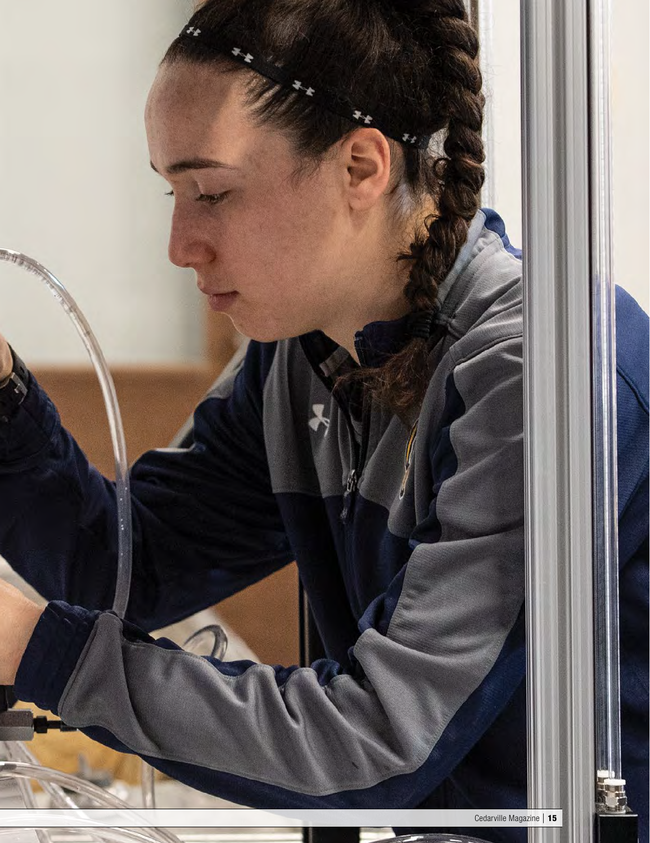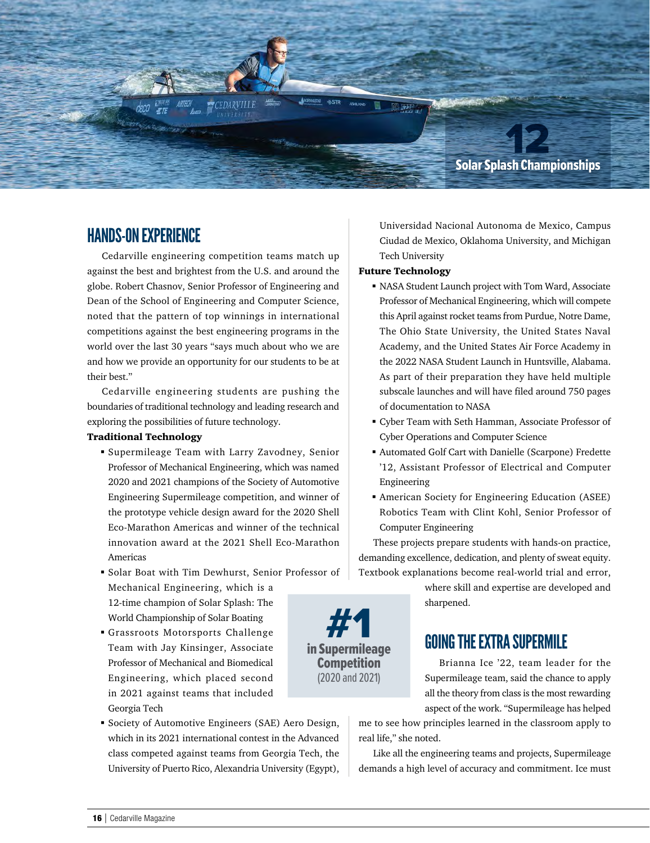

# HANDS-ON EXPERIENCE

Cedarville engineering competition teams match up against the best and brightest from the U.S. and around the globe. Robert Chasnov, Senior Professor of Engineering and Dean of the School of Engineering and Computer Science, noted that the pattern of top winnings in international competitions against the best engineering programs in the world over the last 30 years "says much about who we are and how we provide an opportunity for our students to be at their best."

Cedarville engineering students are pushing the boundaries of traditional technology and leading research and exploring the possibilities of future technology.

#### Traditional Technology

- § Supermileage Team with Larry Zavodney, Senior Professor of Mechanical Engineering, which was named 2020 and 2021 champions of the Society of Automotive Engineering Supermileage competition, and winner of the prototype vehicle design award for the 2020 Shell Eco-Marathon Americas and winner of the technical innovation award at the 2021 Shell Eco-Marathon Americas
- § Solar Boat with Tim Dewhurst, Senior Professor of Mechanical Engineering, which is a
- 12-time champion of Solar Splash: The World Championship of Solar Boating
- § Grassroots Motorsports Challenge Team with Jay Kinsinger, Associate Professor of Mechanical and Biomedical Engineering, which placed second in 2021 against teams that included Georgia Tech
- § Society of Automotive Engineers (SAE) Aero Design, which in its 2021 international contest in the Advanced class competed against teams from Georgia Tech, the University of Puerto Rico, Alexandria University (Egypt),

Universidad Nacional Autonoma de Mexico, Campus Ciudad de Mexico, Oklahoma University, and Michigan Tech University

#### Future Technology

- § NASA Student Launch project with Tom Ward, Associate Professor of Mechanical Engineering, which will compete this April against rocket teams from Purdue, Notre Dame, The Ohio State University, the United States Naval Academy, and the United States Air Force Academy in the 2022 NASA Student Launch in Huntsville, Alabama. As part of their preparation they have held multiple subscale launches and will have filed around 750 pages of documentation to NASA
- § Cyber Team with Seth Hamman, Associate Professor of Cyber Operations and Computer Science
- § Automated Golf Cart with Danielle (Scarpone) Fredette '12, Assistant Professor of Electrical and Computer Engineering
- § American Society for Engineering Education (ASEE) Robotics Team with Clint Kohl, Senior Professor of Computer Engineering

These projects prepare students with hands-on practice, demanding excellence, dedication, and plenty of sweat equity. Textbook explanations become real-world trial and error,

> where skill and expertise are developed and sharpened.

# GOING THE EXTRA SUPERMILE

Brianna Ice '22, team leader for the Supermileage team, said the chance to apply all the theory from class is the most rewarding aspect of the work. "Supermileage has helped

me to see how principles learned in the classroom apply to real life," she noted.

Like all the engineering teams and projects, Supermileage demands a high level of accuracy and commitment. Ice must